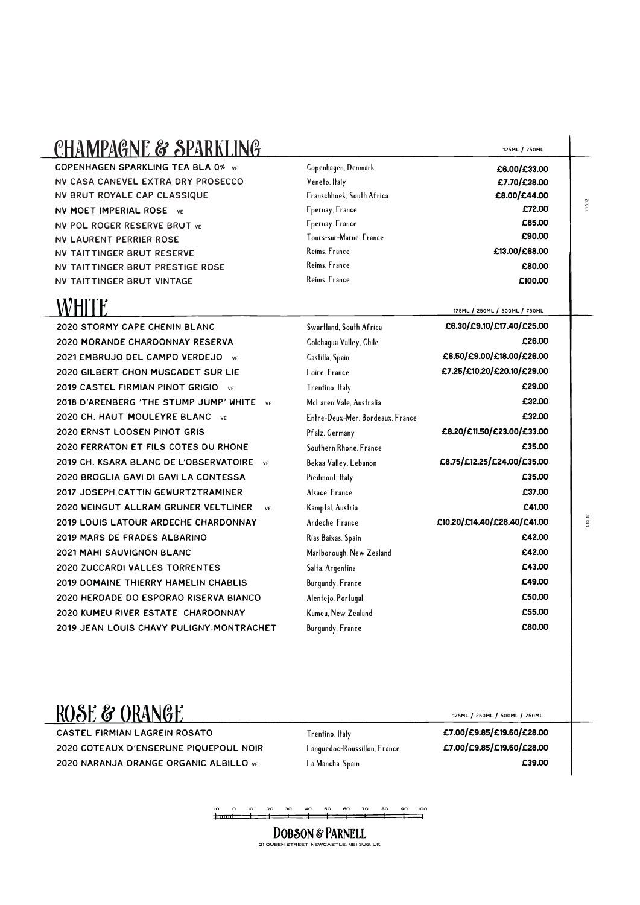#### CHAMPAGNE & SPARKLING

copenhagen Sparkling Tea bla 0% ve NV Casa canevel extra dry prosecco NV brut royale cap classique

' NV POL roger reserve brut ve nv moet imperial rose ve NV Laurent perrier rose NV Taittinger Brut reserve NV Taittinger Brut prestige rose NV Taittinger Brut Vintage

## WHITE

2020 stormy cape chenin blanc 2020 morande chardonnay reserva 2021 embrujo del campo verdejo ve 2020 Gilbert Chon Muscadet Sur Lie 2019 CASTEL FIRMIAN PINOT GRIGIO VE 2018 d'arenberg 'the stump jump' white ve 2020 CH. HAUT MOULEYRE BLANC VE 2020 Ernst loosen pinot gris 2020 Ferraton et fils cotes du rhone 2019 ch. ksara Blanc De l'observatoire ve 2020 broglia gavi di gavi La contessa 2017 Joseph Cattin Gewurtztraminer 2020 Weingut allram Gruner Veltliner ve 2019 louis latour ardeche chardonnay 2019 Mars de frades albarino 2021 mahi Sauvignon Blanc 2020 zuccardi valles torrentes 2019 domaine thierry hamelin chablis 2020 herdade do esporao riserva bianco 2020 Kumeu river estate Chardonnay 2019 JEAN-LOUIS CHAVY PULIGNY-MONTRACHET **Swartland, South Africa Colchagua Valley, Chile Castilla, Spain Loire, France Trentino, Italy McLaren Vale, Australia Entre**-**Deux**-**Mer. Bordeaux. France Pfalz, Germany Southern Rhone. France Bekaa Valley, Lebanon Piedmont, Italy Alsace, France Kamptal, Austria Ardeche. France Rias Baixas. Spain Marlborough, New Zealand Salta. Argentina Burgundy, France Alentejo. Portugal Kumeu, New Zealand Burgundy, France** £90.00 £13.00/£68.00 £80.00 £100.00 £6.30/£9.10/£17.40/£25.00 £26.00 £6.50/£9.00/£18.00/£26.00 £7.25/£10.20/£20.10/£29.00 £29.00 £32.00 £32.00 £8.20/£11.50/£23.00/£33.00 £35.00 £8.75/£12.25/£24.00/£35.00 £35.00 £37.00 £41.00 £10.20/£14.40/£28.40/£41.00 £42.00 £42.00 £43.00 £49.00 £50.00 £55.00 £80.00 175ml / 250ml / 500ml / 750ml 125ml / 750ml £6.00/£33.00 £7.70/£38.00 £8.00/£44.00 £72.00 £85.00 **Copenhagen, Denmark Veneto, Italy Franschhoek, South Africa Epernay, France Epernay. France Tours**-**sur**-**Marne, France Reims, France Reims, France Reims, France** 

1.10.12

1.10.12

### ROSE & ORANGE 1750ML / 250ML / 250ML / 250ML / 750ML

castel firmian lagrein rosato 2020 Coteaux D'Enserune Piquepoul Noir 2020 Naranja orange organic albillo ve

**Trentino, Italy Languedoc**-**Roussillon, France La Mancha. Spain**

£7.00/£9.85/£19.60/£28.00 £7.00/£9.85/£19.60/£28.00 £39.00

10 0 10 20 30 40 50 60 70 80 90 100

DOBSON & PARNELL 21 queen street, newcastle, ne1 3ug, uk